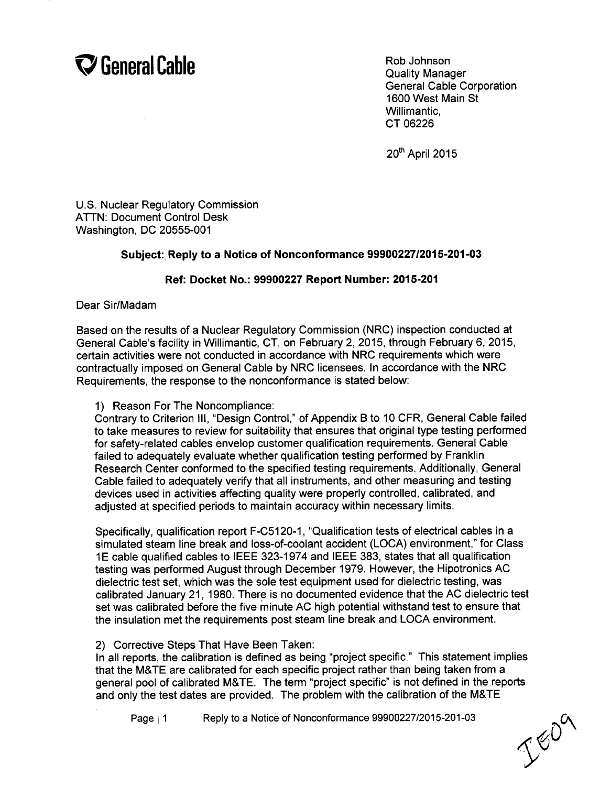

General Cable Corporation 1600 West Main St Willimantic, CT 06226

20<sup>th</sup> April 2015

U.S. Nuclear Regulatory Commission ATTN: Document Control Desk Washington, DC 20555-001

## Subject: Reply to a Notice of Nonconformance **99900227/2015-201-03**

## Ref: Docket No.: **99900227** Report Number: **2015-201**

Dear Sir/Madam

Based on the results of a Nuclear Regulatory Commission (NRC) inspection conducted at General Cable's facility in Willimantic, CT, on February 2, 2015, through February 6, 2015, certain activities were not conducted in accordance with NRC requirements which were contractually imposed on General Cable by NRC licensees. In accordance with the NRC Requirements, the response to the nonconformance is stated below:

1) Reason For The Noncompliance:

Contrary to Criterion **III,** "Design Control," of Appendix B to 10 CFR, General Cable failed to take measures to review for suitability that ensures that original type testing performed for safety-related cables envelop customer qualification requirements. General Cable failed to adequately evaluate whether qualification testing performed by Franklin Research Center conformed to the specified testing requirements. Additionally, General Cable failed to adequately verify that all instruments, and other measuring and testing devices used in activities affecting quality were properly controlled, calibrated, and adjusted at specified periods to maintain accuracy within necessary limits.

Specifically, qualification report F-C5120-1, "Qualification tests of electrical cables in a simulated steam line break and loss-of-coolant accident (LOCA) environment," for Class **1E** cable qualified cables to IEEE 323-1974 and IEEE 383, states that all qualification testing was performed August through December 1979. However, the Hipotronics AC dielectric test set, which was the sole test equipment used for dielectric testing, was calibrated January 21, 1980. There is no documented evidence that the AC dielectric test set was calibrated before the five minute AC high potential withstand test to ensure that the insulation met the requirements post steam line break and LOCA environment.

## 2) Corrective Steps That Have Been Taken:

In all reports, the calibration is defined as being "project specific." This statement implies that the M&TE are calibrated for each specific project rather than being taken from a general pool of calibrated M&TE. The term "project specific" is not defined in the reports and only the test dates are provided. The problem with the calibration of the M&TE

Page **I1** Reply to a Notice of Nonconformance 99900227/2015-201-03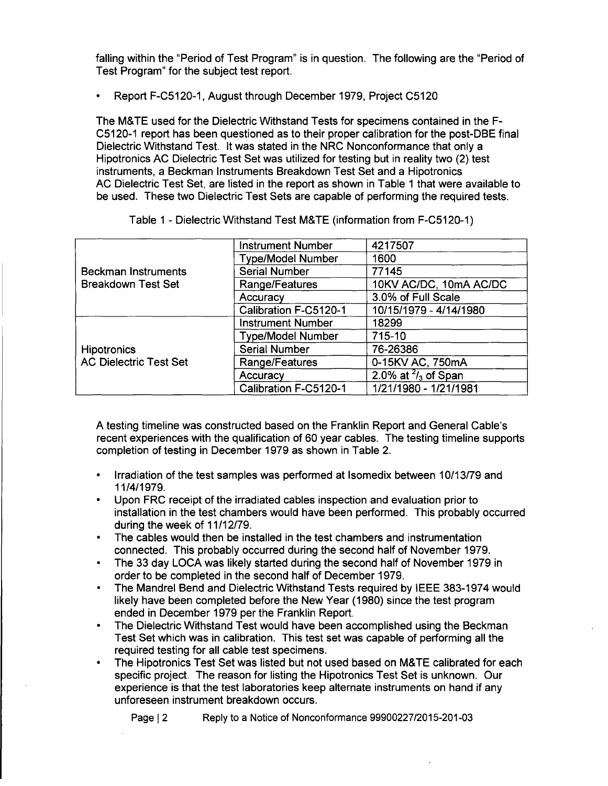falling within the "Period of Test Program" is in question. The following are the "Period of Test Program" for the subject test report.

• Report F-C5120-1, August through December 1979, Project C5120

The M&TE used for the Dielectric Withstand Tests for specimens contained in the F-C5120-1 report has been questioned as to their proper calibration for the post-DBE final Dielectric Withstand Test. It was stated in the NRC Nonconformance that only a Hipotronics AC Dielectric Test Set was utilized for testing but in reality two (2) test instruments, a Beckman Instruments Breakdown Test Set and a Hipotronics AC Dielectric Test Set, are listed in the report as shown in Table 1 that were available to be used. These two Dielectric Test Sets are capable of performing the required tests.

| <b>Beckman Instruments</b><br><b>Breakdown Test Set</b> | <b>Instrument Number</b> | 4217507                       |  |  |  |  |  |  |
|---------------------------------------------------------|--------------------------|-------------------------------|--|--|--|--|--|--|
|                                                         | <b>Type/Model Number</b> | 1600                          |  |  |  |  |  |  |
|                                                         | <b>Serial Number</b>     | 77145                         |  |  |  |  |  |  |
|                                                         | Range/Features           | 10KV AC/DC, 10mA AC/DC        |  |  |  |  |  |  |
|                                                         | Accuracy                 | 3.0% of Full Scale            |  |  |  |  |  |  |
|                                                         | Calibration F-C5120-1    | 10/15/1979 - 4/14/1980        |  |  |  |  |  |  |
| <b>Hipotronics</b><br><b>AC Dielectric Test Set</b>     | <b>Instrument Number</b> | 18299                         |  |  |  |  |  |  |
|                                                         | <b>Type/Model Number</b> | 715-10                        |  |  |  |  |  |  |
|                                                         | <b>Serial Number</b>     | 76-26386                      |  |  |  |  |  |  |
|                                                         | Range/Features           | 0-15KV AC, 750mA              |  |  |  |  |  |  |
|                                                         | Accuracy                 | 2.0% at $\frac{2}{3}$ of Span |  |  |  |  |  |  |
|                                                         | Calibration F-C5120-1    | 1/21/1980 - 1/21/1981         |  |  |  |  |  |  |

Table 1 - Dielectric Withstand Test M&TE (information from F-C5120-1)

A testing timeline was constructed based on the Franklin Report and General Cable's recent experiences with the qualification of 60 year cables. The testing timeline supports completion of testing in December 1979 as shown in Table 2.

- **"** Irradiation of the test samples was performed at Isomedix between 10/13/79 and 11/4/1979.
- Upon FRC receipt of the irradiated cables inspection and evaluation prior to installation in the test chambers would have been performed. This probably occurred during the week of 11/12/79.
- The cables would then be installed in the test chambers and instrumentation connected. This probably occurred during the second half of November 1979.
- \* The 33 day LOCA was likely started during the second half of November 1979 in order to be completed in the second half of December 1979.
- The Mandrel Bend and Dielectric Withstand Tests required by IEEE 383-1974 would likely have been completed before the New Year (1980) since the test program ended in December 1979 per the Franklin Report.
- **"** The Dielectric Withstand Test would have been accomplished using the Beckman Test Set which was in calibration. This test set was capable of performing all the required testing for all cable test specimens.
- **"** The Hipotronics Test Set was listed but not used based on M&TE calibrated for each specific project. The reason for listing the Hipotronics Test Set is unknown. Our experience is that the test laboratories keep alternate instruments on hand if any unforeseen instrument breakdown occurs.

Page **1** 2 Reply to a Notice of Nonconformance 99900227/2015-201-03